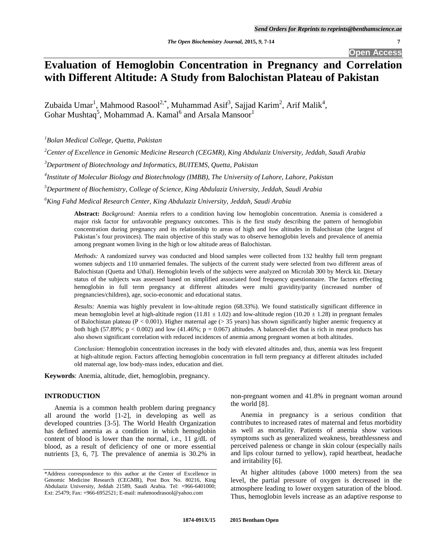**Open Access**

# **Evaluation of Hemoglobin Concentration in Pregnancy and Correlation with Different Altitude: A Study from Balochistan Plateau of Pakistan**

Zubaida Umar<sup>1</sup>, Mahmood Rasool<sup>2,\*</sup>, Muhammad Asif<sup>3</sup>, Sajjad Karim<sup>2</sup>, Arif Malik<sup>4</sup>, Gohar Mushtaq<sup>5</sup>, Mohammad A. Kamal<sup>6</sup> and Arsala Mansoor<sup>1</sup>

*<sup>1</sup>Bolan Medical College, Quetta, Pakistan*

*<sup>2</sup>Center of Excellence in Genomic Medicine Research (CEGMR), King Abdulaziz University, Jeddah, Saudi Arabia*

*<sup>3</sup>Department of Biotechnology and Informatics, BUITEMS, Quetta, Pakistan*

*4 Institute of Molecular Biology and Biotechnology (IMBB), The University of Lahore, Lahore, Pakistan*

*<sup>5</sup>Department of Biochemistry, College of Science, King Abdulaziz University, Jeddah, Saudi Arabia*

*<sup>6</sup>King Fahd Medical Research Center, King Abdulaziz University, Jeddah, Saudi Arabia*

**Abstract:** *Background:* Anemia refers to a condition having low hemoglobin concentration. Anemia is considered a major risk factor for unfavorable pregnancy outcomes. This is the first study describing the pattern of hemoglobin concentration during pregnancy and its relationship to areas of high and low altitudes in Balochistan (the largest of Pakistan's four provinces). The main objective of this study was to observe hemoglobin levels and prevalence of anemia among pregnant women living in the high or low altitude areas of Balochistan.

*Methods:* A randomized survey was conducted and blood samples were collected from 132 healthy full term pregnant women subjects and 110 unmarried females. The subjects of the current study were selected from two different areas of Balochistan (Quetta and Uthal). Hemoglobin levels of the subjects were analyzed on Microlab 300 by Merck kit. Dietary status of the subjects was assessed based on simplified associated food frequency questionnaire. The factors effecting hemoglobin in full term pregnancy at different altitudes were multi gravidity/parity (increased number of pregnancies/children), age, socio-economic and educational status.

*Results:* Anemia was highly prevalent in low-altitude region (68.33%). We found statistically significant difference in mean hemoglobin level at high-altitude region (11.81  $\pm$  1.02) and low-altitude region (10.20  $\pm$  1.28) in pregnant females of Balochistan plateau ( $P < 0.001$ ). Higher maternal age ( $> 35$  years) has shown significantly higher anemic frequency at both high (57.89%;  $p < 0.002$ ) and low (41.46%;  $p = 0.067$ ) altitudes. A balanced-diet that is rich in meat products has also shown significant correlation with reduced incidences of anemia among pregnant women at both altitudes.

*Conclusion:* Hemoglobin concentration increases in the body with elevated altitudes and, thus, anemia was less frequent at high-altitude region. Factors affecting hemoglobin concentration in full term pregnancy at different altitudes included old maternal age, low body-mass index, education and diet.

**Keywords**: Anemia, altitude, diet, hemoglobin, pregnancy.

## **INTRODUCTION**

Anemia is a common health problem during pregnancy all around the world [1-2], in developing as well as developed countries [3-5]. The World Health Organization has defined anemia as a condition in which hemoglobin content of blood is lower than the normal, i.e., 11 g/dL of blood, as a result of deficiency of one or more essential nutrients [3, 6, 7]. The prevalence of anemia is 30.2% in

non-pregnant women and 41.8% in pregnant woman around the world [8].

Anemia in pregnancy is a serious condition that contributes to increased rates of maternal and fetus morbidity as well as mortality. Patients of anemia show various symptoms such as generalized weakness, breathlessness and perceived paleness or change in skin colour (especially nails and lips colour turned to yellow), rapid heartbeat, headache and irritability [6].

At higher altitudes (above 1000 meters) from the sea level, the partial pressure of oxygen is decreased in the atmosphere leading to lower oxygen saturation of the blood. Thus, hemoglobin levels increase as an adaptive response to

<sup>\*</sup>Address correspondence to this author at the Center of Excellence in Genomic Medicine Research (CEGMR), Post Box No. 80216, King Abdulaziz University, Jeddah 21589, Saudi Arabia. Tel: +966-6401000; Ext: 25479; Fax: +966-6952521; E-mail: mahmoodrasool@yahoo.com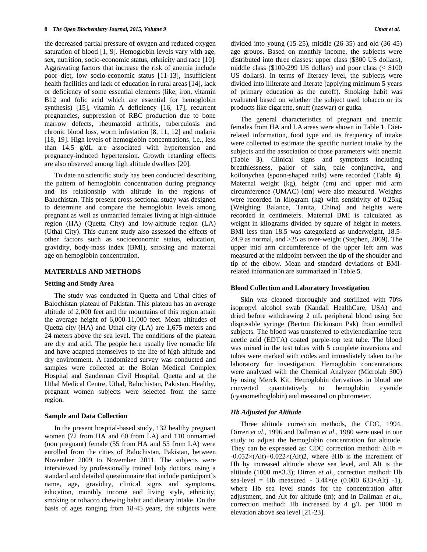the decreased partial pressure of oxygen and reduced oxygen saturation of blood [1, 9]. Hemoglobin levels vary with age, sex, nutrition, socio-economic status, ethnicity and race [10]. Aggravating factors that increase the risk of anemia include poor diet, low socio-economic status [11-13], insufficient health facilities and lack of education in rural areas [14], lack or deficiency of some essential elements (like, iron, vitamin B12 and folic acid which are essential for hemoglobin synthesis) [15], vitamin A deficiency [16, 17], recurrent pregnancies, suppression of RBC production due to bone marrow defects, rheumatoid arthritis, tuberculosis and chronic blood loss, worm infestation [8, 11, 12] and malaria [18, 19]. High levels of hemoglobin concentrations, i.e., less than 14.5 g/dL are associated with hypertension and pregnancy-induced hypertension. Growth retarding effects are also observed among high altitude dwellers [20].

To date no scientific study has been conducted describing the pattern of hemoglobin concentration during pregnancy and its relationship with altitude in the regions of Baluchistan. This present cross-sectional study was designed to determine and compare the hemoglobin levels among pregnant as well as unmarried females living at high-altitude region (HA) (Quetta City) and low-altitude region (LA) (Uthal City). This current study also assessed the effects of other factors such as socioeconomic status, education, gravidity, body-mass index (BMI), smoking and maternal age on hemoglobin concentration.

### **MATERIALS AND METHODS**

#### **Setting and Study Area**

The study was conducted in Quetta and Uthal cities of Balochistan plateau of Pakistan. This plateau has an average altitude of 2,000 feet and the mountains of this region attain the average height of 6,000-11,000 feet. Mean altitudes of Quetta city (HA) and Uthal city (LA) are 1,675 meters and 24 meters above the sea level. The conditions of the plateau are dry and arid. The people here usually live nomadic life and have adapted themselves to the life of high altitude and dry environment. A randomized survey was conducted and samples were collected at the Bolan Medical Complex Hospital and Sandeman Civil Hospital, Quetta and at the Uthal Medical Centre, Uthal, Balochistan, Pakistan. Healthy, pregnant women subjects were selected from the same region.

#### **Sample and Data Collection**

In the present hospital-based study, 132 healthy pregnant women (72 from HA and 60 from LA) and 110 unmarried (non pregnant) female (55 from HA and 55 from LA) were enrolled from the cities of Balochistan, Pakistan, between November 2009 to November 2011. The subjects were interviewed by professionally trained lady doctors, using a standard and detailed questionnaire that include participant's name, age, gravidity, clinical signs and symptoms, education, monthly income and living style, ethnicity, smoking or tobacco chewing habit and dietary intake. On the basis of ages ranging from 18-45 years, the subjects were divided into young (15-25), middle (26-35) and old (36-45) age groups. Based on monthly income, the subjects were distributed into three classes: upper class (\$300 US dollars), middle class (\$100-299 US dollars) and poor class (< \$100 US dollars). In terms of literacy level, the subjects were divided into illiterate and literate (applying minimum 5 years of primary education as the cutoff). Smoking habit was evaluated based on whether the subject used tobacco or its products like cigarette, snuff (naswar) or gutka.

The general characteristics of pregnant and anemic females from HA and LA areas were shown in Table **1**. Dietrelated information, food type and its frequency of intake were collected to estimate the specific nutrient intake by the subjects and the association of those parameters with anemia (Table **3**). Clinical signs and symptoms including breathlessness, pallor of skin, pale conjunctiva, and koilonychea (spoon-shaped nails) were recorded (Table **4**). Maternal weight (kg), height (cm) and upper mid arm circumference (UMAC) (cm) were also measured. Weights were recorded in kilogram (kg) with sensitivity of 0.25kg (Weighing Balance, Tanita, China) and heights were recorded in centimeters. Maternal BMI is calculated as weight in kilograms divided by square of height in meters. BMI less than 18.5 was categorized as underweight, 18.5- 24.9 as normal, and >25 as over-weight (Stephen, 2009). The upper mid arm circumference of the upper left arm was measured at the midpoint between the tip of the shoulder and tip of the elbow. Mean and standard deviations of BMIrelated information are summarized in Table **5**.

## **Blood Collection and Laboratory Investigation**

Skin was cleaned thoroughly and sterilized with 70% isopropyl alcohol swab (Kandall HealthCare, USA) and dried before withdrawing 2 mL peripheral blood using 5cc disposable syringe (Becton Dickinson Pak) from enrolled subjects. The blood was transferred to ethylenediamine tetra acetic acid (EDTA) coated purple-top test tube. The blood was mixed in the test tubes with 5 complete inversions and tubes were marked with codes and immediately taken to the laboratory for investigation. Hemoglobin concentrations were analyzed with the Chemical Analyzer (Microlab 300) by using Merck Kit. Hemoglobin derivatives in blood are converted quantitatively to hemoglobin cyanide (cyanomethoglobin) and measured on photometer.

## *Hb Adjusted for Altitude*

Three altitude correction methods, the CDC, 1994, Dirren *et al*., 1996 and Dallman *et al*., 1980 were used in our study to adjust the hemoglobin concentration for altitude. They can be expressed as: CDC correction method:  $\Delta Hb =$  $-0.032\times(Alt)+0.022\times(Alt)2$ , where  $\delta Hb$  is the increment of Hb by increased altitude above sea level, and Alt is the altitude (1000 m×3.3); Dirren *et al*., correction method: Hb sea-level = Hb measured -  $3.44 \times (e \ (0.000 \ 633 \times Alt) -1)$ , where Hb sea level stands for the concentration after adjustment, and Alt for altitude (m); and in Dallman *et al*., correction method: Hb increased by 4 g/L per 1000 m elevation above sea level [21-23].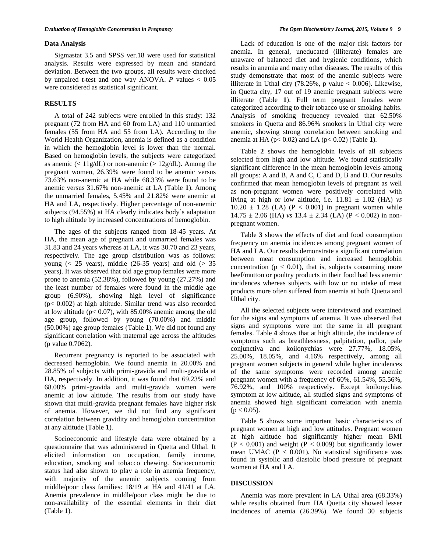#### **Data Analysis**

Sigmastat 3.5 and SPSS ver.18 were used for statistical analysis. Results were expressed by mean and standard deviation. Between the two groups, all results were checked by unpaired t-test and one way ANOVA. *P* values < 0.05 were considered as statistical significant.

## **RESULTS**

A total of 242 subjects were enrolled in this study: 132 pregnant (72 from HA and 60 from LA) and 110 unmarried females (55 from HA and 55 from LA). According to the World Health Organization, anemia is defined as a condition in which the hemoglobin level is lower than the normal. Based on hemoglobin levels, the subjects were categorized as anemic ( $\langle 11g/dL \rangle$ ) or non-anemic ( $> 12g/dL$ ). Among the pregnant women, 26.39% were found to be anemic versus 73.63% non-anemic at HA while 68.33% were found to be anemic versus 31.67% non-anemic at LA (Table **1**). Among the unmarried females, 5.45% and 21.82% were anemic at HA and LA, respectively. Higher percentage of non-anemic subjects (94.55%) at HA clearly indicates body's adaptation to high altitude by increased concentrations of hemoglobin.

The ages of the subjects ranged from 18-45 years. At HA, the mean age of pregnant and unmarried females was 31.83 and 24 years whereas at LA, it was 30.70 and 23 years, respectively. The age group distribution was as follows: young ( $< 25$  years), middle (26-35 years) and old ( $> 35$ years). It was observed that old age group females were more prone to anemia (52.38%), followed by young (27.27%) and the least number of females were found in the middle age group (6.90%), showing high level of significance (p< 0.002) at high altitude. Similar trend was also recorded at low altitude ( $p < 0.07$ ), with 85.00% anemic among the old age group, followed by young (70.00%) and middle (50.00%) age group females (Table **1**). We did not found any significant correlation with maternal age across the altitudes (p value 0.7062).

Recurrent pregnancy is reported to be associated with decreased hemoglobin. We found anemia in 20.00% and 28.85% of subjects with primi-gravida and multi-gravida at HA, respectively. In addition, it was found that 69.23% and 68.08% primi-gravida and multi-gravida women were anemic at low altitude. The results from our study have shown that multi-gravida pregnant females have higher risk of anemia. However, we did not find any significant correlation between gravidity and hemoglobin concentration at any altitude (Table **1**).

Socioeconomic and lifestyle data were obtained by a questionnaire that was administered in Quetta and Uthal. It elicited information on occupation, family income, education, smoking and tobacco chewing. Socioeconomic status had also shown to play a role in anemia frequency, with majority of the anemic subjects coming from middle/poor class families: 18/19 at HA and 41/41 at LA. Anemia prevalence in middle/poor class might be due to non-availability of the essential elements in their diet (Table **1**).

Lack of education is one of the major risk factors for anemia. In general, uneducated (illiterate) females are unaware of balanced diet and hygienic conditions, which results in anemia and many other diseases. The results of this study demonstrate that most of the anemic subjects were illiterate in Uthal city  $(78.26\% , p$  value  $< 0.006$ ). Likewise, in Quetta city, 17 out of 19 anemic pregnant subjects were illiterate (Table **1**). Full term pregnant females were categorized according to their tobacco use or smoking habits. Analysis of smoking frequency revealed that 62.50% smokers in Quetta and 86.96% smokers in Uthal city were anemic, showing strong correlation between smoking and anemia at HA ( $p < 0.02$ ) and LA ( $p < 0.02$ ) (Table 1).

Table **2** shows the hemoglobin levels of all subjects selected from high and low altitude. We found statistically significant difference in the mean hemoglobin levels among all groups: A and B, A and C, C and D, B and D. Our results confirmed that mean hemoglobin levels of pregnant as well as non-pregnant women were positively correlated with living at high or low altitude, i.e. 11.81 ± 1.02 (HA) *vs*  $10.20 \pm 1.28$  (LA) (P < 0.001) in pregnant women while  $14.75 \pm 2.06$  (HA) *vs*  $13.4 \pm 2.34$  (LA) (P < 0.002) in nonpregnant women.

Table **3** shows the effects of diet and food consumption frequency on anemia incidences among pregnant women of HA and LA. Our results demonstrate a significant correlation between meat consumption and increased hemoglobin concentration ( $p < 0.01$ ), that is, subjects consuming more beef/mutton or poultry products in their food had less anemic incidences whereas subjects with low or no intake of meat products more often suffered from anemia at both Quetta and Uthal city.

All the selected subjects were interviewed and examined for the signs and symptoms of anemia. It was observed that signs and symptoms were not the same in all pregnant females. Table **4** shows that at high altitude, the incidence of symptoms such as breathlessness, palpitation, pallor, pale conjunctiva and koilonychias were 27.77%, 18.05%, 25.00%, 18.05%, and 4.16% respectively, among all pregnant women subjects in general while higher incidences of the same symptoms were recorded among anemic pregnant women with a frequency of 60%, 61.54%, 55.56%, 76.92%, and 100% respectively. Except koilonychias symptom at low altitude, all studied signs and symptoms of anemia showed high significant correlation with anemia  $(p < 0.05)$ .

Table **5** shows some important basic characteristics of pregnant women at high and low attitudes. Pregnant women at high altitude had significantly higher mean BMI  $(P < 0.001)$  and weight  $(P < 0.009)$  but significantly lower mean UMAC ( $P < 0.001$ ). No statistical significance was found in systolic and diastolic blood pressure of pregnant women at HA and LA.

## **DISCUSSION**

Anemia was more prevalent in LA Uthal area (68.33%) while results obtained from HA Quetta city showed lesser incidences of anemia (26.39%). We found 30 subjects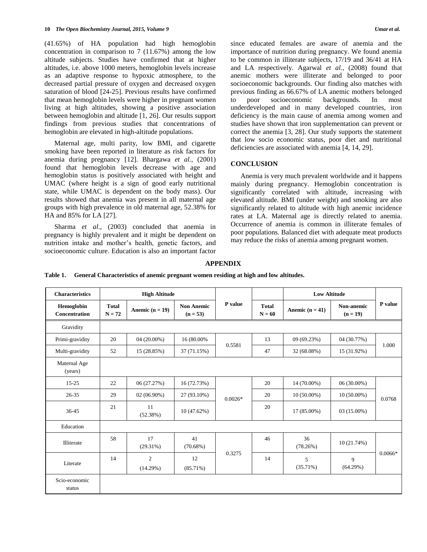(41.65%) of HA population had high hemoglobin concentration in comparison to 7 (11.67%) among the low altitude subjects. Studies have confirmed that at higher altitudes, i.e. above 1000 meters, hemoglobin levels increase as an adaptive response to hypoxic atmosphere, to the decreased partial pressure of oxygen and decreased oxygen saturation of blood [24-25]. Previous results have confirmed that mean hemoglobin levels were higher in pregnant women living at high altitudes, showing a positive association between hemoglobin and altitude [1, 26]. Our results support findings from previous studies that concentrations of hemoglobin are elevated in high-altitude populations.

Maternal age, multi parity, low BMI, and cigarette smoking have been reported in literature as risk factors for anemia during pregnancy [12]. Bhargawa *et al.,* (2001) found that hemoglobin levels decrease with age and hemoglobin status is positively associated with height and UMAC (where height is a sign of good early nutritional state, while UMAC is dependent on the body mass). Our results showed that anemia was present in all maternal age groups with high prevalence in old maternal age, 52.38% for HA and 85% for LA [27].

Sharma *et al*., (2003) concluded that anemia in pregnancy is highly prevalent and it might be dependent on nutrition intake and mother's health, genetic factors, and socioeconomic culture. Education is also an important factor since educated females are aware of anemia and the importance of nutrition during pregnancy. We found anemia to be common in illiterate subjects, 17/19 and 36/41 at HA and LA respectively. Agarwal *et al.,* (2008) found that anemic mothers were illiterate and belonged to poor socioeconomic backgrounds. Our finding also matches with previous finding as 66.67% of LA anemic mothers belonged to poor socioeconomic backgrounds. In most underdeveloped and in many developed countries, iron deficiency is the main cause of anemia among women and studies have shown that iron supplementation can prevent or correct the anemia [3, 28]. Our study supports the statement that low socio economic status, poor diet and nutritional deficiencies are associated with anemia [4, 14, 29].

## **CONCLUSION**

Anemia is very much prevalent worldwide and it happens mainly during pregnancy. Hemoglobin concentration is significantly correlated with altitude, increasing with elevated altitude. BMI (under weight) and smoking are also significantly related to altitude with high anemic incidence rates at LA. Maternal age is directly related to anemia. Occurrence of anemia is common in illiterate females of poor populations. Balanced diet with adequate meat products may reduce the risks of anemia among pregnant women.

## **APPENDIX**

| <b>Characteristics</b>      | <b>High Altitude</b>     |                            |                                 |           |                          | <b>Low Altitude</b> |                          |           |
|-----------------------------|--------------------------|----------------------------|---------------------------------|-----------|--------------------------|---------------------|--------------------------|-----------|
| Hemoglobin<br>Concentration | <b>Total</b><br>$N = 72$ | Anemic $(n = 19)$          | <b>Non Anemic</b><br>$(n = 53)$ | P value   | <b>Total</b><br>$N = 60$ | Anemic $(n = 41)$   | Non-anemic<br>$(n = 19)$ | P value   |
| Gravidity                   |                          |                            |                                 |           |                          |                     |                          |           |
| Primi-gravidity             | 20                       | 04 (20.00%)                | 16 (80.00%)                     |           | 13                       | 09 (69.23%)         | 04 (30.77%)              |           |
| Multi-gravidity             | 52                       | 15 (28.85%)                | 37 (71.15%)                     | 0.5581    | 47                       | 32 (68.08%)         | 15 (31.92%)              | 1.000     |
| Maternal Age<br>(years)     |                          |                            |                                 |           |                          |                     |                          |           |
| $15 - 25$                   | 22                       | 06 (27.27%)                | 16 (72.73%)                     |           | 20                       | 14 (70.00%)         | 06 (30.00%)              |           |
| 26-35                       | 29                       | $02(06.90\%)$              | 27 (93.10%)                     | $0.0026*$ | 20                       | $10(50.00\%)$       | $10(50.00\%)$            | 0.0768    |
| 36-45                       | 21                       | 11<br>(52.38%)             | 10(47.62%)                      |           | 20                       | 17 (85.00%)         | 03 (15.00%)              |           |
| Education                   |                          |                            |                                 |           |                          |                     |                          |           |
| Illiterate                  | 58                       | 17<br>(29.31%)             | 41<br>(70.68%)                  |           | 46                       | 36<br>(78.26%)      | 10 (21.74%)              |           |
| Literate                    | 14                       | $\overline{2}$<br>(14.29%) | 12<br>$(85.71\%)$               | 0.3275    | 14                       | 5<br>(35.71%)       | 9<br>(64.29%)            | $0.0066*$ |
| Scio-economic<br>status     |                          |                            |                                 |           |                          |                     |                          |           |

**Table 1. General Characteristics of anemic pregnant women residing at high and low altitudes.**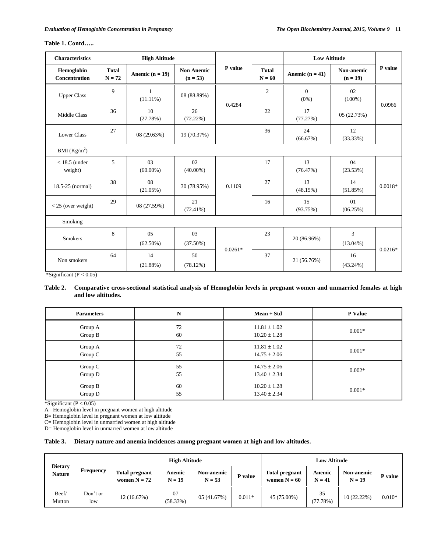| <b>Characteristics</b>      | <b>High Altitude</b>     |                   |                                 |           |                          | <b>Low Altitude</b>     |                          |           |
|-----------------------------|--------------------------|-------------------|---------------------------------|-----------|--------------------------|-------------------------|--------------------------|-----------|
| Hemoglobin<br>Concentration | <b>Total</b><br>$N = 72$ | Anemic $(n = 19)$ | <b>Non Anemic</b><br>$(n = 53)$ | P value   | <b>Total</b><br>$N = 60$ | Anemic $(n = 41)$       | Non-anemic<br>$(n = 19)$ | P value   |
| <b>Upper Class</b>          | 9                        | 1<br>$(11.11\%)$  | 08 (88.89%)                     |           | $\mathfrak{2}$           | $\mathbf{0}$<br>$(0\%)$ | 02<br>$(100\%)$          |           |
| Middle Class                | 36                       | 10<br>(27.78%)    | 26<br>(72.22%)                  | 0.4284    | 22                       | 17<br>(77.27%)          | 05(22.73%)               | 0.0966    |
| <b>Lower Class</b>          | 27                       | 08 (29.63%)       | 19 (70.37%)                     |           | 36                       | 24<br>(66.67%)          | 12<br>(33.33%)           |           |
| BMI $(Kg/m2)$               |                          |                   |                                 |           |                          |                         |                          |           |
| $<$ 18.5 (under<br>weight)  | 5                        | 03<br>$(60.00\%)$ | 02<br>$(40.00\%)$               |           | 17                       | 13<br>(76.47%)          | 04<br>(23.53%)           |           |
| 18.5-25 (normal)            | 38                       | 08<br>$(21.05\%)$ | 30 (78.95%)                     | 0.1109    | 27                       | 13<br>(48.15%)          | 14<br>(51.85%)           | $0.0018*$ |
| $<$ 25 (over weight)        | 29                       | 08 (27.59%)       | 21<br>$(72.41\%)$               |           | 16                       | 15<br>(93.75%)          | 01<br>(06.25%)           |           |
| Smoking                     |                          |                   |                                 |           |                          |                         |                          |           |
| <b>Smokers</b>              | 8                        | 05<br>$(62.50\%)$ | 03<br>$(37.50\%)$               |           | 23                       | 20 (86.96%)             | 3<br>$(13.04\%)$         |           |
| Non smokers                 | 64                       | 14<br>(21.88%)    | 50<br>(78.12%)                  | $0.0261*$ | 37                       | 21 (56.76%)             | 16<br>$(43.24\%)$        | $0.0216*$ |

## **Table 1. Contd…..**

\*Significant ( $P < 0.05$ )

## **Table 2. Comparative cross-sectional statistical analysis of Hemoglobin levels in pregnant women and unmarried females at high and low altitudes.**

| <b>Parameters</b> | N  | Mean + Std       | P Value  |
|-------------------|----|------------------|----------|
| Group A           | 72 | $11.81 \pm 1.02$ | $0.001*$ |
| Group B           | 60 | $10.20 \pm 1.28$ |          |
| Group A           | 72 | $11.81 \pm 1.02$ | $0.001*$ |
| Group C           | 55 | $14.75 \pm 2.06$ |          |
| Group C           | 55 | $14.75 \pm 2.06$ | $0.002*$ |
| Group D           | 55 | $13.40 \pm 2.34$ |          |
| Group B           | 60 | $10.20 \pm 1.28$ | $0.001*$ |
| Group D           | 55 | $13.40 \pm 2.34$ |          |

\*Significant ( $P < 0.05$ )

A= Hemoglobin level in pregnant women at high altitude

B= Hemoglobin level in pregnant women at low altitude

C= Hemoglobin level in unmarried women at high altitude

D= Hemoglobin level in unmarred women at low altitude

## **Table 3. Dietary nature and anemia incidences among pregnant women at high and low altitudes.**

|                                 |                 | <b>High Altitude</b>             |                    |                               |          | <b>Low Altitude</b>              |                    |                               |          |
|---------------------------------|-----------------|----------------------------------|--------------------|-------------------------------|----------|----------------------------------|--------------------|-------------------------------|----------|
| <b>Dietary</b><br><b>Nature</b> | Frequency       | Total pregnant<br>women $N = 72$ | Anemic<br>$N = 19$ | <b>Non-anemic</b><br>$N = 53$ | P value  | Total pregnant<br>women $N = 60$ | Anemic<br>$N = 41$ | <b>Non-anemic</b><br>$N = 19$ | P value  |
| Beef/<br>Mutton                 | Don't or<br>low | 12 (16.67%)                      | 07<br>(58.33%)     | 05 (41.67%)                   | $0.011*$ | 45 (75.00%)                      | 35<br>(77.78%)     | 10 (22.22%)                   | $0.010*$ |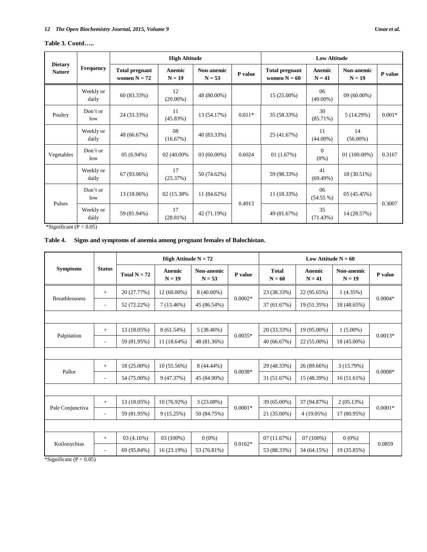## **Table 3. Contd…..**

|                                 |                    |                                         | <b>High Altitude</b> |                               |          | <b>Low Altitude</b>                     |                     |                               |          |
|---------------------------------|--------------------|-----------------------------------------|----------------------|-------------------------------|----------|-----------------------------------------|---------------------|-------------------------------|----------|
| <b>Dietary</b><br><b>Nature</b> | Frequency          | <b>Total pregnant</b><br>women $N = 72$ | Anemic<br>$N = 19$   | <b>Non-anemic</b><br>$N = 53$ | P value  | <b>Total pregnant</b><br>women $N = 60$ | Anemic<br>$N = 41$  | <b>Non-anemic</b><br>$N = 19$ | P value  |
|                                 | Weekly or<br>daily | 60 (83.33%)                             | 12<br>$(20.00\%)$    | 48 (80.00%)                   |          | 15 (25.00%)                             | 06<br>$(40.00\%)$   | 09 (60.00%)                   |          |
| Poultry                         | Don't or<br>low    | 24 (33.33%)                             | 11<br>(45.83%)       | 13 (54.17%)                   | $0.011*$ | 35 (58.33%)                             | 30<br>$(85.71\%)$   | 5(14.29%)                     | $0.001*$ |
|                                 | Weekly or<br>daily | 48 (66.67%)                             | 08<br>(16.67%)       | 40 (83.33%)                   |          | 25 (41.67%)                             | 11<br>$(44.00\%)$   | 14<br>$(56.00\%)$             |          |
| Vegetables                      | Don't or<br>low    | $05(6.94\%)$                            | 02 (40.00%)          | $03(60.00\%)$                 | 0.6024   | 01(1.67%)                               | $\theta$<br>$(0\%)$ | $01(100.00\%)$                | 0.3167   |
|                                 | Weekly or<br>daily | 67 (93.06%)                             | 17<br>(25.37%)       | 50 (74.62%)                   |          | 59 (98.33%)                             | 41<br>(69.49%)      | 18 (30.51%)                   |          |
| Pulses                          | Don't or<br>low    | 13 (18.06%)                             | 02 (15.38%)          | 11 (84.62%)                   | 0.4913   | 11 (18.33%)                             | 06<br>$(54.55\%)$   | 05(45.45%)                    | 0.3007   |
|                                 | Weekly or<br>daily | 59 (81.94%)                             | 17<br>$(28.81\%)$    | 42 (71.19%)                   |          | 49 (81.67%)                             | 35<br>(71.43%)      | 14 (28.57%)                   |          |

\*Significant (P < 0.05)

## **Table 4. Signs and symptoms of anemia among pregnant females of Balochistan.**

|                                 |                          | High Attitude $N = 72$ |                    |                               | Low Attitude $N = 60$ |                          |                    |                               |           |
|---------------------------------|--------------------------|------------------------|--------------------|-------------------------------|-----------------------|--------------------------|--------------------|-------------------------------|-----------|
| <b>Symptoms</b>                 | <b>Status</b>            | Total $N = 72$         | Anemic<br>$N = 19$ | <b>Non-anemic</b><br>$N = 53$ | P value               | <b>Total</b><br>$N = 60$ | Anemic<br>$N = 41$ | <b>Non-anemic</b><br>$N = 19$ | P value   |
|                                 | $^{+}$                   | 20 (27.77%)            | $12(60.00\%)$      | 8 (40.00%)                    |                       | 23 (38.33%)              | 22 (95.65%)        | 1(4.35%)                      |           |
| <b>Breathlessness</b>           | $\overline{\phantom{a}}$ | 52 (72.22%)            | 7(13.46%)          | 45 (86.54%)                   | $0.0002*$             | 37 (61.67%)              | 19 (51.35%)        | 18 (48.65%)                   | $0.0004*$ |
|                                 |                          |                        |                    |                               |                       |                          |                    |                               |           |
|                                 | $+$                      | 13 (18.05%)            | $8(61.54\%)$       | 5(38.46%)                     |                       | 20 (33.33%)              | 19 (95.00%)        | $1(5.00\%)$                   | $0.0013*$ |
| Palpitation                     | $\overline{\phantom{a}}$ | 59 (81.95%)            | $11(18.64\%)$      | 48 (81.36%)                   | $0.0035*$             | 40 (66.67%)              | 22 (55.00%)        | 18 (45.00%)                   |           |
|                                 |                          |                        |                    |                               |                       |                          |                    |                               |           |
| Pallor                          | $+$                      | 18 (25.00%)            | 10(55.56%)         | 8 (44.44%)                    |                       | 29 (48.33%)              | 26 (89.66%)        | 3 (15.79%)                    | $0.0008*$ |
|                                 | $\overline{\phantom{a}}$ | 54 (75.00%)            | 9 (47.37%)         | 45 (84.90%)                   | $0.0038*$             | 31 (51.67%)              | 15 (48.39%)        | 16 (51.61%)                   |           |
|                                 |                          |                        |                    |                               |                       |                          |                    |                               |           |
|                                 | $+$                      | 13 (18.05%)            | $10(76.92\%)$      | 3(23.08%)                     | $0.0001*$             | 39 (65.00%)              | 37 (94.87%)        | 2(05.13%)                     | $0.0001*$ |
| Pale Conjunctiva                | $\overline{\phantom{a}}$ | 59 (81.95%)            | 9(15.25%)          | 50 (84.75%)                   |                       | 21 (35.00%)              | 4 (19.05%)         | 17 (80.95%)                   |           |
|                                 |                          |                        |                    |                               |                       |                          |                    |                               |           |
| Koilonychias                    | $+$                      | 03(4.16%)              | 03 (100%)          | $0(0\%)$                      | $0.0162*$             | 07(11.67%)               | 07(100%)           | $0(0\%)$                      | 0.0859    |
| $RC$ ignificant (D $\geq$ 0.05) | $\sim$                   | 69 (95.84%)            | 16 (23.19%)        | 53 (76.81%)                   |                       | 53 (88.33%)              | 34 (64.15%)        | 19 (35.85%)                   |           |

\*Significant (P < 0.05)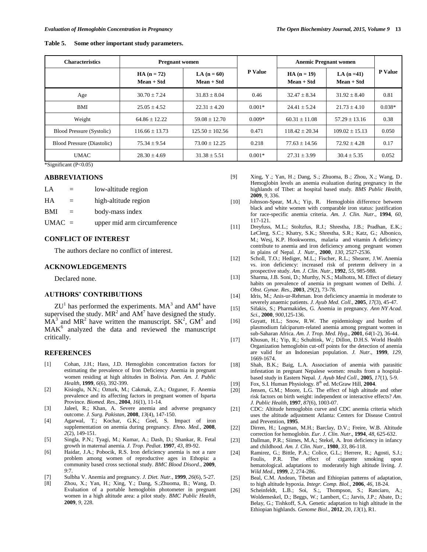| Table 5. |  |  |  | Some other important study parameters. |
|----------|--|--|--|----------------------------------------|
|----------|--|--|--|----------------------------------------|

| <b>Characteristics</b>            | <b>Pregnant women</b>      |                             |                | <b>Anemic Pregnant women</b> |                             |                |
|-----------------------------------|----------------------------|-----------------------------|----------------|------------------------------|-----------------------------|----------------|
|                                   | $HA(n = 72)$<br>Mean + Std | LA $(n = 60)$<br>Mean + Std | <b>P</b> Value | $HA (n = 19)$<br>Mean + Std  | LA $(n=41)$<br>$Mean + Std$ | <b>P</b> Value |
| Age                               | $30.70 \pm 7.24$           | $31.83 \pm 8.04$            | 0.46           | $32.47 \pm 8.34$             | $31.92 \pm 8.40$            | 0.81           |
| <b>BMI</b>                        | $25.05 \pm 4.52$           | $22.31 \pm 4.20$            | $0.001*$       | $24.41 + 5.24$               | $21.73 + 4.10$              | $0.038*$       |
| Weight                            | $64.86 + 12.22$            | $59.08 + 12.70$             | $0.009*$       | $60.31 + 11.08$              | $57.29 + 13.16$             | 0.38           |
| Blood Pressure (Systolic)         | $116.66 \pm 13.73$         | $125.50 + 102.56$           | 0.471          | $118.42 + 20.34$             | $109.02 + 15.13$            | 0.050          |
| <b>Blood Pressure (Diastolic)</b> | $75.34 \pm 9.54$           | $73.00 \pm 12.25$           | 0.218          | $77.63 \pm 14.56$            | $72.92 + 4.28$              | 0.17           |
| <b>UMAC</b>                       | $28.30 \pm 4.69$           | $31.38 \pm 5.51$            | $0.001*$       | $27.31 \pm 3.99$             | $30.4 \pm 5.35$             | 0.052          |

\*Significant (P<0.05)

## **ABBREVIATIONS**

| $L^A$      | $=$ | low-altitude region         |
|------------|-----|-----------------------------|
| HA         | $=$ | high-altitude region        |
| <b>BMI</b> | $=$ | body-mass index             |
| $UMAC =$   |     | upper mid arm circumference |

### **CONFLICT OF INTEREST**

The authors declare no conflict of interest.

### **ACKNOWLEDGEMENTS**

Declared none.

## **AUTHORS' CONTRIBUTIONS**

 $ZU<sup>1</sup>$  has performed the experiments. MA<sup>3</sup> and AM<sup>4</sup> have supervised the study.  $MR^2$  and  $AM^7$  have designed the study.  $\overline{MA}^3$  and  $\overline{MR}^2$  have written the manuscript.  $\overline{SK}^2$ ,  $\overline{GM}^5$  and MAK<sup>6</sup> analyzed the data and reviewed the manuscript critically.

### **REFERENCES**

- [1] Cohan, J.H.; Hass, J.D. Hemoglobin concentration factors for estimating the prevalence of Iron Deficiency Anemia in pregnant women residing at high altitudes in Bolivia. *Pan. Am. J. Public Health*, **1999**, *6*(6), 392-399.
- [2] Kisioglu, N.N.; Ozturk, M.; Cakmak, Z.A.; Ozguner, F. Anemia prevalence and its affecting factors in pregnant women of Isparta Province. *Biomed. Res*., **2004**, *16*(1), 11-14.
- [3] Jaleel, R.; Khan, A. Severe anemia and adverse pregnancy outcome. *J. Surg. Pakistan*, **2008**, *13*(4), 147-150.
- [4] Agarwal, T.; Kochar, G.K.; Goel, S. Impact of iron supplementation on anemia during pregnancy. *Ehno. Med.*, **2008**, *2*(2), 149-151.
- [5] Singla, P.N.; Tyagi, M.; Kumar, A.; Dash, D.; Shankar, R. Fetal growth in maternal anemia*. J. Trop. Pediat*. **1997**, *43*, 89-92.
- [6] Haidar, J.A.; Pobocik, R.S. Iron deficiency anemia is not a rare problem among women of reproductive ages in Ethopia: a community based cross sectional study. *BMC Blood Disord.,* **2009**, *9*:7.
- [7] Sulbha V. Anemia and pregnancy*. J. Diet. Nutr.*, **1999**, *26*(6), 5-27.
- [8] Zhou, X.; Yan, H.; Xing, Y.; Dang, S.;Zhuoma, B.; Wang, D. Evaluation of a portable hemoglobin photometer in pregnant women in a high altitude area: a pilot study*. BMC Public Health,* **2009**, *9*, 228.
- [9] Xing, Y.; Yan, H.; Dang, S.; Zhuoma, B.; Zhou, X.; Wang, D. Hemoglobin levels an anemia evaluation during pregnancy in the highlands of Tibet: at hospital based study. *BMS Public Health,*  **2009**, *9*, 336.
- [10] Johnson-Spear, M.A.; Yip, R. Hemoglobin difference between black and white women with comparable iron status: justification for race-specific anemia criteria. *Am. J. Clin. Nutr*., **1994**, *60*, 117-121.
- [11] Dreyfuss, M.L.; Stoltzfus, R.J.; Shrestha, J.B.; Pradhan, E.K.; LeClerg, S.C.; Khatry, S.K.; Shrestha, S.R.; Katz, G.; Albonico, M.; Wesj, K.P. Hookworms, malaria and vitamin A deficiency contribute to anemia and iron deficiency among pregnant women in plains of Nepal. *J. Nutr*., **2000**, *130*, 2527-2536.
- [12] Scholl, T.O.; Hediger, M.L.; Fischer, R.L.; Shearer, J.W. Anemia vs. iron deficiency: increased risk of preterm delivery in a prospective study. *Am. J. Clin. Nutr*., **1992**, *55*, 985-988.
- [13] Sharma, J.B. Soni, D.; Murthy, N.S.; Malhotra, M. Effect of dietary habits on prevalence of anemia in pregnant women of Delhi. *J. Obst. Gynae. Res*., **2003**, *29*(2), 73-78.
- [14] Idris, M.; Anis-ur-Rehman. Iron deficiency anaemia in moderate to severely anaemic patients*. J. Ayub Med. Coll*., **2005**, *17*(3), 45-47.
- [15] Sifakis, S.; Pharmakides, G. Anemia in pregnancy. *Ann NY Acad. Sci.,* **2000**, *900*,125-136.
- [16] Guyatt, H.L.; Snow, R.W. The epidemiology and burden of plasmodium falciparum-related anemia among pregnant women in sub-Saharan Africa. *Am. J. Trop. Med. Hyg*., **2001**, *64*(1-2), 36-44.
- [17] Khusun, H.; Yip, R.; Schultink, W.; Dillon, D.H.S. World Health Organization hemoglobin cut-off points for the detection of anemia are valid for an Indonesian population. *J. Nutr.*, **1999**, *129*, 1669-1674.
- [18] Shah, B.K.; Baig, L.A. Association of anemia with parasitic infestation in pregnant Nepalese women: results from a hospitalbased study in Eastern Nepal. *J. Ayub Med Coll*., **2005**, *17*(1), 5-9.
- [19] Fox, S.I. Human Physiology. 8<sup>th</sup> ed. McGraw Hill, **2004**.
- [20] Jensen, G.M.; Moore, L.G. The effect of high altitude and other risk factors on birth weight: independent or interactive effects? *Am. J. Public Health*, **1997**, *87*(6), 1003-07.
- [21] CDC: Altitude hemoglobin curve and CDC anemia criteria which uses the altitude adjustment Atlanta: Centers for Disease Control and Prevention, **1995**.
- [22] Dirren, H.; Logman, M.H.; Barclay, D.V.; Freire, W.B. Altitude correction for hemoglobin. *Eur. J. Clin. Nutr*., **1994**, *48*, 625-632.
- [23] Dallman, P.R.; Siimes, M.A.; Stekel, A. Iron deficiency in infancy and childhood. *Am. J. Clin. Nutr*., **1980**, *33*, 86-118.
- [24] Ramirez, G.; Bittle, P.A.; Colice, G.L.; Herrere, R.; Agosti, S.J.; Foulis, P.R. The effect of cigarette smoking upon hematological. adaptations to moderately high altitude living. *J. Wild Med*., **1999**, *2*, 274-286.
- [25] Beal, C.M. Andean, Tibetan and Ethiopian patterns of adaptation, to high altitude hypoxia. *Integr. Comp. Biol.,* **2006**, *46*, 18-24.
- [26] Scheinfeldt, L.B.; Soi, S.;, Thompson, S.; Ranciaro, A.; Woldemeskel, D.; Beggs, W.; Lambert, C.; Jarvis, J.P.; Abate, D.; Belay, G.; Tishkoff, S.A. Genetic adaptation to high altitude in the Ethiopian highlands. *Genome Biol*., **2012**, 20, *13*(1), R1.